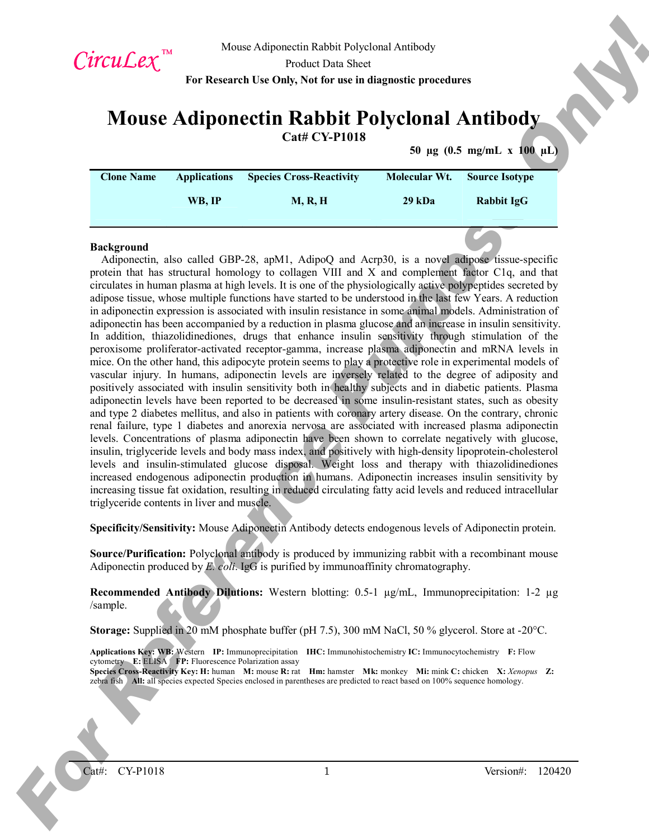

# **Mouse Adiponectin Rabbit Polyclonal Antibody**

**Cat# CY-P1018**

**50 µg (0.5 mg/mL x 100 µL)**

| <b>Clone Name</b> | <b>Applications</b> | <b>Species Cross-Reactivity</b> | Molecular Wt. | <b>Source Isotype</b> |
|-------------------|---------------------|---------------------------------|---------------|-----------------------|
|                   |                     |                                 |               |                       |
|                   | WB. IP              | <b>M, R, H</b>                  | 29 kDa        | Rabbit IgG            |
|                   |                     |                                 |               |                       |
|                   |                     |                                 |               |                       |

#### **Background**

*Circuit Levy*.<sup>26</sup> More Adjancent is a Decision Morella Method Method Method Method Section 2004.<br> **For Reference Purpose Only 2.5** Method Section 2008. The purpose of the control of the control of the control of the con Adiponectin, also called GBP-28, apM1, AdipoQ and Acrp30, is a novel adipose tissue-specific protein that has structural homology to collagen VIII and X and complement factor C1q, and that circulates in human plasma at high levels. It is one of the physiologically active polypeptides secreted by adipose tissue, whose multiple functions have started to be understood in the last few Years. A reduction in adiponectin expression is associated with insulin resistance in some animal models. Administration of adiponectin has been accompanied by a reduction in plasma glucose and an increase in insulin sensitivity. In addition, thiazolidinediones, drugs that enhance insulin sensitivity through stimulation of the peroxisome proliferator-activated receptor-gamma, increase plasma adiponectin and mRNA levels in mice. On the other hand, this adipocyte protein seems to play a protective role in experimental models of vascular injury. In humans, adiponectin levels are inversely related to the degree of adiposity and positively associated with insulin sensitivity both in healthy subjects and in diabetic patients. Plasma adiponectin levels have been reported to be decreased in some insulin-resistant states, such as obesity and type 2 diabetes mellitus, and also in patients with coronary artery disease. On the contrary, chronic renal failure, type 1 diabetes and anorexia nervosa are associated with increased plasma adiponectin levels. Concentrations of plasma adiponectin have been shown to correlate negatively with glucose, insulin, triglyceride levels and body mass index, and positively with high-density lipoprotein-cholesterol levels and insulin-stimulated glucose disposal. Weight loss and therapy with thiazolidinediones increased endogenous adiponectin production in humans. Adiponectin increases insulin sensitivity by increasing tissue fat oxidation, resulting in reduced circulating fatty acid levels and reduced intracellular triglyceride contents in liver and muscle.

**Specificity/Sensitivity:** Mouse Adiponectin Antibody detects endogenous levels of Adiponectin protein.

**Source/Purification:** Polyclonal antibody is produced by immunizing rabbit with a recombinant mouse Adiponectin produced by *E. coli*. IgG is purified by immunoaffinity chromatography.

**Recommended Antibody Dilutions:** Western blotting: 0.5-1 µg/mL, Immunoprecipitation: 1-2 µg /sample.

**Storage:** Supplied in 20 mM phosphate buffer (pH 7.5), 300 mM NaCl, 50 % glycerol. Store at -20°C.

**Applications Key: WB:** Western **IP:** Immunoprecipitation **IHC:** Immunohistochemistry **IC:** Immunocytochemistry **F:** Flow cytometry **E:** ELISA **FP:** Fluorescence Polarization assay **Species Cross-Reactivity Key: H:** human **M:** mouse **R:** rat **Hm:** hamster **Mk:** monkey **Mi:** mink **C:** chicken **X:** *Xenopus* **Z:**  zebra fish **All:** all species expected Species enclosed in parentheses are predicted to react based on 100% sequence homology.

Cat#: CY-P1018 1 Version#: 120420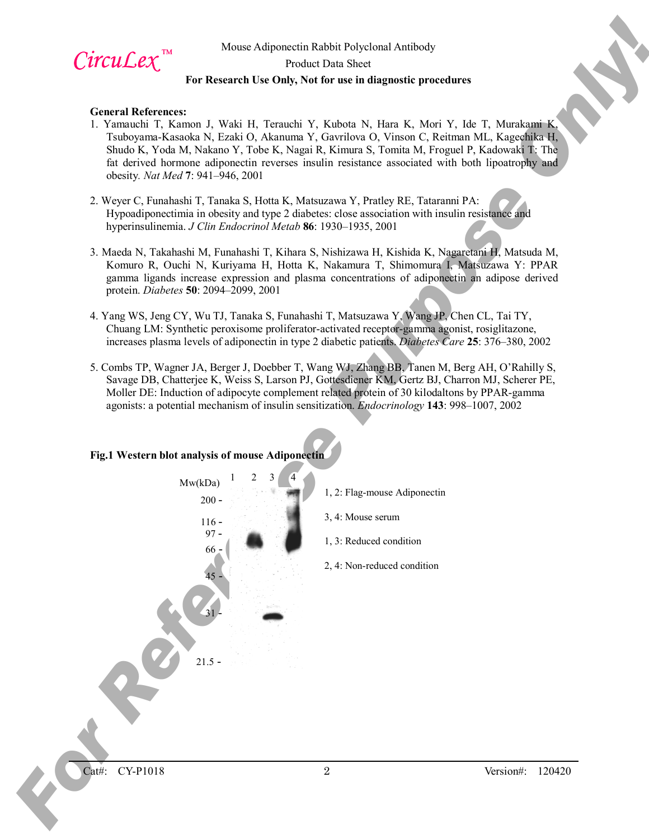

# Mouse Adiponectin Rabbit Polyclonal Antibody Product Data Sheet **For Research Use Only, Not for use in diagnostic procedures**

#### **General References:**

- 1. Yamauchi T, Kamon J, Waki H, Terauchi Y, Kubota N, Hara K, Mori Y, Ide T, Murakami K, Tsuboyama-Kasaoka N, Ezaki O, Akanuma Y, Gavrilova O, Vinson C, Reitman ML, Kagechika H, Shudo K, Yoda M, Nakano Y, Tobe K, Nagai R, Kimura S, Tomita M, Froguel P, Kadowaki T: The fat derived hormone adiponectin reverses insulin resistance associated with both lipoatrophy and obesity*. Nat Med* **7**: 941–946, 2001
- 2. Weyer C, Funahashi T, Tanaka S, Hotta K, Matsuzawa Y, Pratley RE, Tataranni PA: Hypoadiponectimia in obesity and type 2 diabetes: close association with insulin resistance and hyperinsulinemia. *J Clin Endocrinol Metab* **86**: 1930–1935, 2001
- 3. Maeda N, Takahashi M, Funahashi T, Kihara S, Nishizawa H, Kishida K, Nagaretani H, Matsuda M, Komuro R, Ouchi N, Kuriyama H, Hotta K, Nakamura T, Shimomura I, Matsuzawa Y: PPAR gamma ligands increase expression and plasma concentrations of adiponectin an adipose derived protein. *Diabetes* **50**: 2094–2099, 2001
- 4. Yang WS, Jeng CY, Wu TJ, Tanaka S, Funahashi T, Matsuzawa Y, Wang JP, Chen CL, Tai TY, Chuang LM: Synthetic peroxisome proliferator-activated receptor-gamma agonist, rosiglitazone, increases plasma levels of adiponectin in type 2 diabetic patients. *Diabetes Care* **25**: 376–380, 2002
- 5. Combs TP, Wagner JA, Berger J, Doebber T, Wang WJ, Zhang BB, Tanen M, Berg AH, O'Rahilly S, Savage DB, Chatterjee K, Weiss S, Larson PJ, Gottesdiener KM, Gertz BJ, Charron MJ, Scherer PE, Moller DE: Induction of adipocyte complement related protein of 30 kilodaltons by PPAR-gamma agonists: a potential mechanism of insulin sensitization. *Endocrinology* **143**: 998–1007, 2002

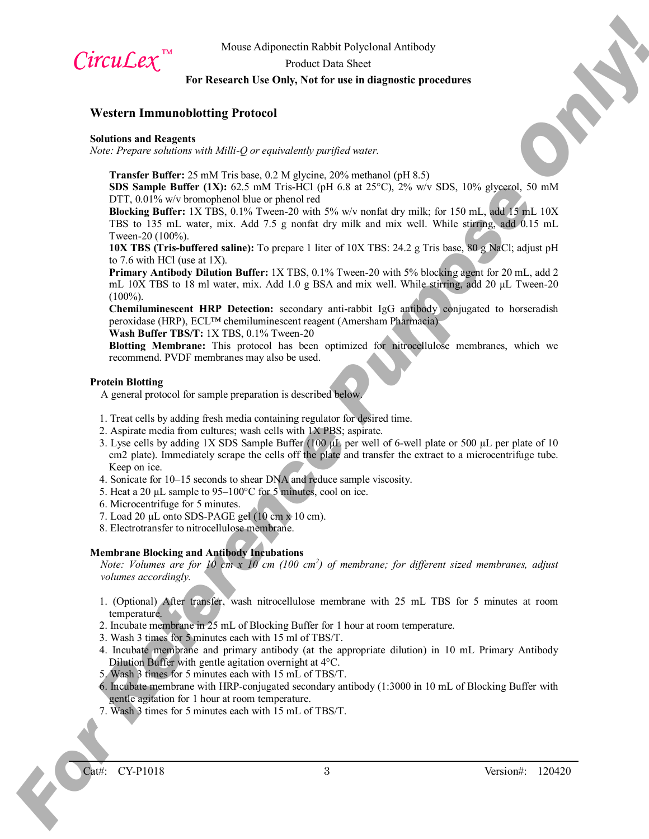

Mouse Adiponectin Rabbit Polyclonal Antibody

Product Data Sheet

# **For Research Use Only, Not for use in diagnostic procedures**

## **Western Immunoblotting Protocol**

#### **Solutions and Reagents**

*Note: Prepare solutions with Milli-Q or equivalently purified water.*

**Transfer Buffer:** 25 mM Tris base, 0.2 M glycine, 20% methanol (pH 8.5)

**SDS Sample Buffer (1X):** 62.5 mM Tris-HCl (pH 6.8 at 25°C), 2% w/v SDS, 10% glycerol, 50 mM DTT, 0.01% w/v bromophenol blue or phenol red

**Blocking Buffer:** 1X TBS, 0.1% Tween-20 with 5% w/v nonfat dry milk; for 150 mL, add 15 mL 10X TBS to 135 mL water, mix. Add 7.5 g nonfat dry milk and mix well. While stirring, add 0.15 mL Tween-20 (100%).

**10X TBS (Tris-buffered saline):** To prepare 1 liter of 10X TBS: 24.2 g Tris base, 80 g NaCl; adjust pH to 7.6 with HCl (use at 1X).

**Primary Antibody Dilution Buffer:** 1X TBS, 0.1% Tween-20 with 5% blocking agent for 20 mL, add 2 mL 10X TBS to 18 ml water, mix. Add 1.0 g BSA and mix well. While stirring, add 20  $\mu$ L Tween-20  $(100\%)$ .

**Chemiluminescent HRP Detection:** secondary anti-rabbit IgG antibody conjugated to horseradish peroxidase (HRP), ECL™ chemiluminescent reagent (Amersham Pharmacia)

**Wash Buffer TBS/T:** 1X TBS, 0.1% Tween-20

**Blotting Membrane:** This protocol has been optimized for nitrocellulose membranes, which we recommend. PVDF membranes may also be used.

#### **Protein Blotting**

A general protocol for sample preparation is described below.

- 1. Treat cells by adding fresh media containing regulator for desired time.
- 2. Aspirate media from cultures; wash cells with 1X PBS; aspirate.
- **CITCLICEX,**<sup>284</sup> More Adipancella Rabid Forestand Antibaly<br> **For Reverse Only 2006** Data Sheet Control of the set in disparatio procedure.<br> **For Reference Purpose only 2006** Data Sheet Control of the set in disparatio pr 3. Lyse cells by adding 1X SDS Sample Buffer (100 µL per well of 6-well plate or 500 µL per plate of 10 cm2 plate). Immediately scrape the cells off the plate and transfer the extract to a microcentrifuge tube. Keep on ice.
	- 4. Sonicate for 10–15 seconds to shear DNA and reduce sample viscosity.
	- 5. Heat a 20 µL sample to 95–100°C for 5 minutes, cool on ice.
	- 6. Microcentrifuge for 5 minutes.
	- 7. Load 20  $\mu$ L onto SDS-PAGE gel (10 cm x 10 cm).
	- 8. Electrotransfer to nitrocellulose membrane.

## **Membrane Blocking and Antibody Incubations**

*Note: Volumes are for 10 cm x 10 cm (100 cm<sup>2</sup> ) of membrane; for different sized membranes, adjust volumes accordingly.*

- 1. (Optional) After transfer, wash nitrocellulose membrane with 25 mL TBS for 5 minutes at room temperature.
- 2. Incubate membrane in 25 mL of Blocking Buffer for 1 hour at room temperature.
- 3. Wash 3 times for 5 minutes each with 15 ml of TBS/T.
- 4. Incubate membrane and primary antibody (at the appropriate dilution) in 10 mL Primary Antibody Dilution Buffer with gentle agitation overnight at 4°C.
- 5. Wash 3 times for 5 minutes each with 15 mL of TBS/T.
- 6. Incubate membrane with HRP-conjugated secondary antibody (1:3000 in 10 mL of Blocking Buffer with gentle agitation for 1 hour at room temperature.
- 7. Wash 3 times for 5 minutes each with 15 mL of TBS/T.